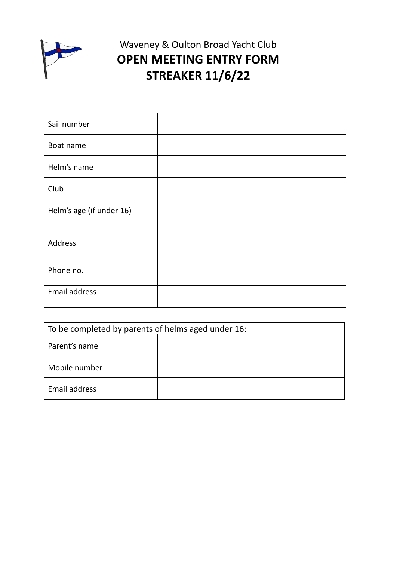

## Waveney & Oulton Broad Yacht Club **OPEN MEETING ENTRY FORM STREAKER 11/6/22**

| Sail number              |  |
|--------------------------|--|
| Boat name                |  |
| Helm's name              |  |
| Club                     |  |
| Helm's age (if under 16) |  |
| Address                  |  |
|                          |  |
| Phone no.                |  |
| Email address            |  |

| To be completed by parents of helms aged under 16: |  |  |
|----------------------------------------------------|--|--|
| Parent's name                                      |  |  |
| Mobile number                                      |  |  |
| Email address                                      |  |  |